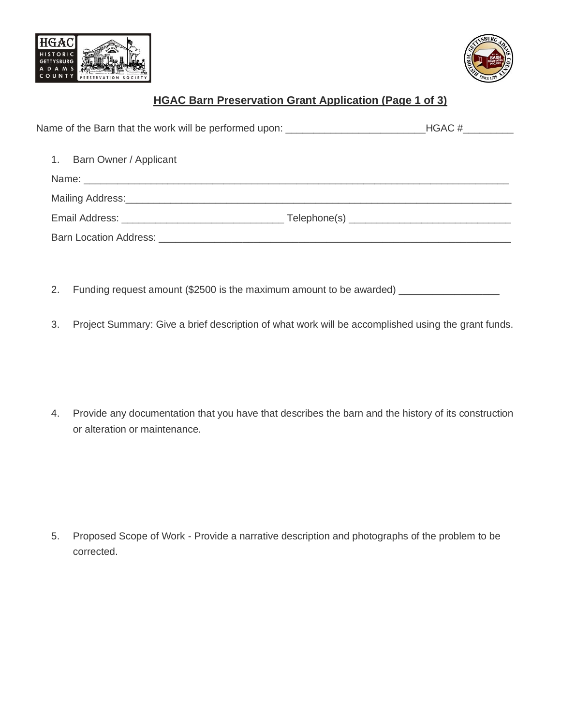



# **HGAC Barn Preservation Grant Application (Page 1 of 3)**

| Name of the Barn that the work will be performed upon: ________________________________HGAC #__________                                                                                                                        |  |
|--------------------------------------------------------------------------------------------------------------------------------------------------------------------------------------------------------------------------------|--|
| Barn Owner / Applicant<br>$1_{\cdot}$                                                                                                                                                                                          |  |
|                                                                                                                                                                                                                                |  |
|                                                                                                                                                                                                                                |  |
|                                                                                                                                                                                                                                |  |
| Barn Location Address: Note that the state of the state of the state of the state of the state of the state of the state of the state of the state of the state of the state of the state of the state of the state of the sta |  |

- 2. Funding request amount (\$2500 is the maximum amount to be awarded)  $\_$
- 3. Project Summary: Give a brief description of what work will be accomplished using the grant funds.

4. Provide any documentation that you have that describes the barn and the history of its construction or alteration or maintenance.

5. Proposed Scope of Work - Provide a narrative description and photographs of the problem to be corrected.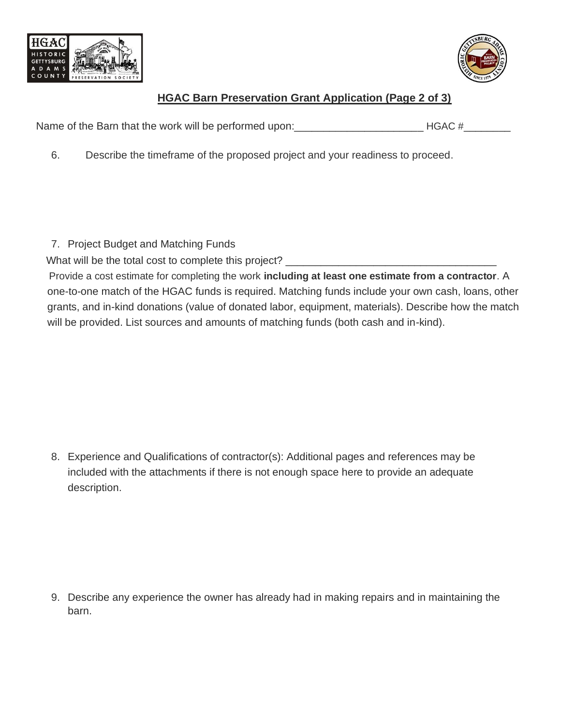



## **HGAC Barn Preservation Grant Application (Page 2 of 3)**

Name of the Barn that the work will be performed upon: The Manus of the Barn that the work will be performed upon:

6. Describe the timeframe of the proposed project and your readiness to proceed.

7. Project Budget and Matching Funds

What will be the total cost to complete this project? \_\_\_\_\_\_\_\_\_\_\_\_\_\_\_\_\_\_\_\_\_\_\_\_\_\_

 Provide a cost estimate for completing the work **including at least one estimate from a contractor**. A one-to-one match of the HGAC funds is required. Matching funds include your own cash, loans, other grants, and in-kind donations (value of donated labor, equipment, materials). Describe how the match will be provided. List sources and amounts of matching funds (both cash and in-kind).

8. Experience and Qualifications of contractor(s): Additional pages and references may be included with the attachments if there is not enough space here to provide an adequate description.

9. Describe any experience the owner has already had in making repairs and in maintaining the barn.